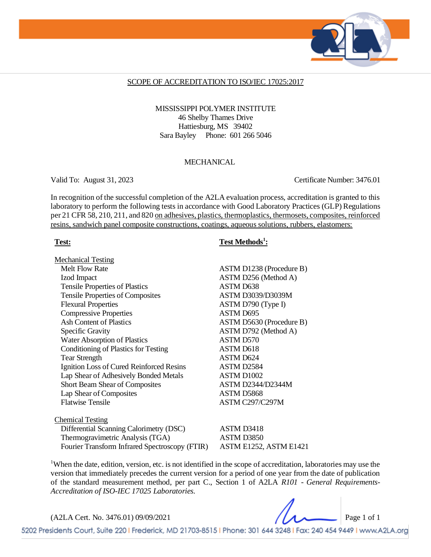

#### SCOPE OF ACCREDITATION TO ISO/IEC 17025:2017

#### MISSISSIPPI POLYMER INSTITUTE 46 Shelby Thames Drive Hattiesburg, MS 39402 Sara Bayley Phone: 601 266 5046

#### **MECHANICAL**

Valid To: August 31, 2023 Certificate Number: 3476.01

In recognition of the successful completion of the A2LA evaluation process, accreditation is granted to this laboratory to perform the following tests in accordance with Good Laboratory Practices (GLP) Regulations per 21 CFR 58, 210, 211, and 820 on adhesives, plastics, thermoplastics, thermosets, composites, reinforced resins, sandwich panel composite constructions, coatings, aqueous solutions, rubbers, elastomers:

Mechanical Testing Melt Flow Rate ASTM D1238 (Procedure B) Izod Impact ASTM D256 (Method A) Tensile Properties of Plastics ASTM D638 Tensile Properties of Composites ASTM D3039/D3039M Flexural Properties ASTM D790 (Type I) Compressive Properties ASTM D695 Ash Content of Plastics ASTM D5630 (Procedure B) Specific Gravity ASTM D792 (Method A) Water Absorption of Plastics ASTM D570 Conditioning of Plastics for Testing ASTM D618 Tear Strength ASTM D624 Ignition Loss of Cured Reinforced Resins ASTM D2584 Lap Shear of Adhesively Bonded Metals ASTM D1002 Short Beam Shear of Composites ASTM D2344/D2344M Lap Shear of Composites ASTM D5868 Flatwise Tensile ASTM C297/C297M

Chemical Testing Differential Scanning Calorimetry (DSC) ASTM D3418 Thermogravimetric Analysis (TGA) ASTM D3850 Fourier Transform Infrared Spectroscopy (FTIR) ASTM E1252, ASTM E1421

### Test: Test Methods<sup>1</sup>:

<sup>1</sup>When the date, edition, version, etc. is not identified in the scope of accreditation, laboratories may use the version that immediately precedes the current version for a period of one year from the date of publication of the standard measurement method, per part C., Section 1 of A2LA *R101 - General Requirements-Accreditation of ISO-IEC 17025 Laboratories.*

(A2LA Cert. No. 3476.01) 09/09/2021 Page 1 of 1

5202 Presidents Court, Suite 220 | Frederick, MD 21703-8515 | Phone: 301 644 3248 | Fax: 240 454 9449 | www.A2LA.org